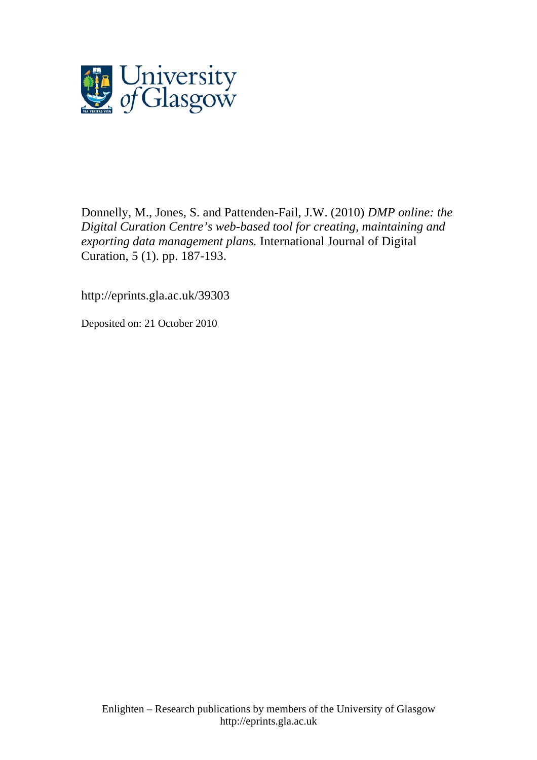

Donnelly, M., Jones, S. and Pattenden-Fail, J.W. (2010) *DMP online: the Digital Curation Centre's web-based tool for creating, maintaining and exporting data management plans.* International Journal of Digital Curation, 5 (1). pp. 187-193.

http://eprints.gla.ac.uk/39303

Deposited on: 21 October 2010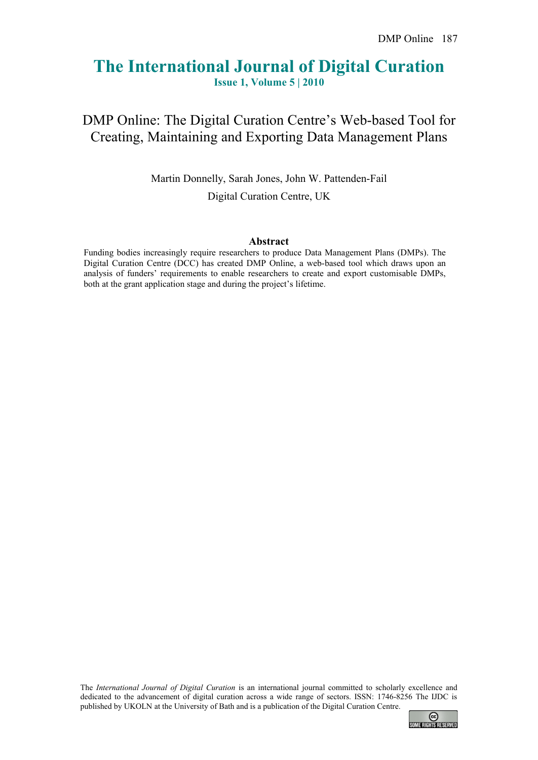## **The International Journal of Digital Curation Issue 1, Volume 5 | 2010**

## DMP Online: The Digital Curation Centre's Web-based Tool for Creating, Maintaining and Exporting Data Management Plans

Martin Donnelly, Sarah Jones, John W. Pattenden-Fail Digital Curation Centre, UK

#### **Abstract**

Funding bodies increasingly require researchers to produce Data Management Plans (DMPs). The Digital Curation Centre (DCC) has created DMP Online, a web-based tool which draws upon an analysis of funders' requirements to enable researchers to create and export customisable DMPs, both at the grant application stage and during the project's lifetime.

The *International Journal of Digital Curation* is an international journal committed to scholarly excellence and dedicated to the advancement of digital curation across a wide range of sectors. ISSN: 1746-8256 The IJDC is published by UKOLN at the University of Bath and is a publication of the Digital Curation Centre.

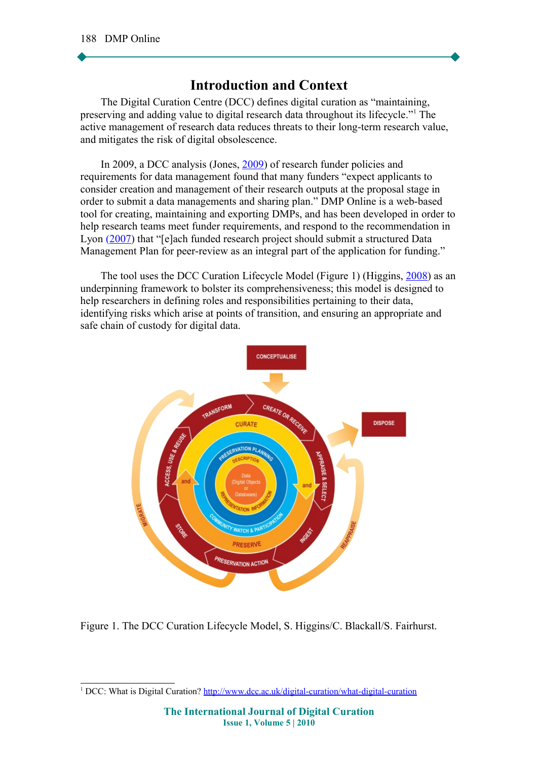## **Introduction and Context**

The Digital Curation Centre (DCC) defines digital curation as "maintaining, preserving and adding value to digital research data throughout its lifecycle."<sup>[1](#page-2-0)</sup> The active management of research data reduces threats to their long-term research value, and mitigates the risk of digital obsolescence.

In 2009, a DCC analysis (Jones, [2009\)](#page-7-2) of research funder policies and requirements for data management found that many funders "expect applicants to consider creation and management of their research outputs at the proposal stage in order to submit a data managements and sharing plan." DMP Online is a web-based tool for creating, maintaining and exporting DMPs, and has been developed in order to help research teams meet funder requirements, and respond to the recommendation in Lyon [\(2007\)](#page-7-1) that "[e]ach funded research project should submit a structured Data Management Plan for peer-review as an integral part of the application for funding."

The tool uses the DCC Curation Lifecycle Model (Figure 1) (Higgins, [2008\)](#page-7-0) as an underpinning framework to bolster its comprehensiveness; this model is designed to help researchers in defining roles and responsibilities pertaining to their data, identifying risks which arise at points of transition, and ensuring an appropriate and safe chain of custody for digital data.



Figure 1. The DCC Curation Lifecycle Model, S. Higgins/C. Blackall/S. Fairhurst.

<span id="page-2-0"></span><sup>&</sup>lt;sup>1</sup> DCC: What is Digital Curation?<http://www.dcc.ac.uk/digital-curation/what-digital-curation>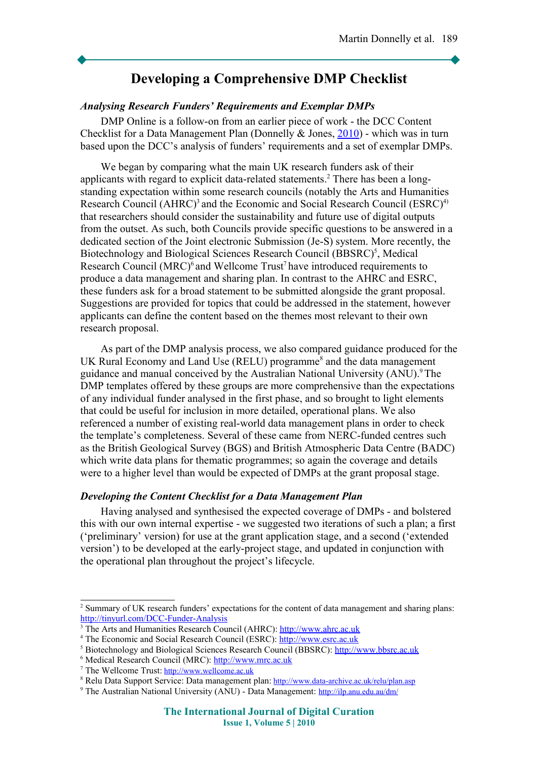## **Developing a Comprehensive DMP Checklist**

#### *Analysing Research Funders' Requirements and Exemplar DMPs*

DMP Online is a follow-on from an earlier piece of work - the DCC Content Checklist for a Data Management Plan (Donnelly  $\&$  Jones,  $\frac{2010}{10}$ ) - which was in turn based upon the DCC's analysis of funders' requirements and a set of exemplar DMPs.

We began by comparing what the main UK research funders ask of their applicants with regard to explicit data-related statements.<sup>[2](#page-3-0)</sup> There has been a longstanding expectation within some research councils (notably the Arts and Humanities Research Council (AHRC)<sup>[3](#page-3-1)</sup> and the Economic and Social Research Council (ESRC)<sup>[4\)](#page-3-2)</sup> that researchers should consider the sustainability and future use of digital outputs from the outset. As such, both Councils provide specific questions to be answered in a dedicated section of the Joint electronic Submission (Je-S) system. More recently, the Biotechnology and Biological Sciences Research Council (BBSRC)<sup>[5](#page-3-3)</sup>, Medical Research Council (MRC)<sup>[6](#page-3-4)</sup> and Wellcome Trust<sup>[7](#page-3-5)</sup> have introduced requirements to produce a data management and sharing plan. In contrast to the AHRC and ESRC, these funders ask for a broad statement to be submitted alongside the grant proposal. Suggestions are provided for topics that could be addressed in the statement, however applicants can define the content based on the themes most relevant to their own research proposal.

As part of the DMP analysis process, we also compared guidance produced for the UK Rural Economy and Land Use (RELU) programme<sup>[8](#page-3-6)</sup> and the data management guidance and manual conceived by the Australian National University (ANU).<sup>[9](#page-3-7)</sup> The DMP templates offered by these groups are more comprehensive than the expectations of any individual funder analysed in the first phase, and so brought to light elements that could be useful for inclusion in more detailed, operational plans. We also referenced a number of existing real-world data management plans in order to check the template's completeness. Several of these came from NERC-funded centres such as the British Geological Survey (BGS) and British Atmospheric Data Centre (BADC) which write data plans for thematic programmes; so again the coverage and details were to a higher level than would be expected of DMPs at the grant proposal stage.

#### *Developing the Content Checklist for a Data Management Plan*

Having analysed and synthesised the expected coverage of DMPs - and bolstered this with our own internal expertise - we suggested two iterations of such a plan; a first ('preliminary' version) for use at the grant application stage, and a second ('extended version') to be developed at the early-project stage, and updated in conjunction with the operational plan throughout the project's lifecycle.

<span id="page-3-0"></span><sup>&</sup>lt;sup>2</sup> Summary of UK research funders' expectations for the content of data management and sharing plans: <http://tinyurl.com/DCC-Funder-Analysis>

<span id="page-3-1"></span><sup>&</sup>lt;sup>3</sup> The Arts and Humanities Research Council (AHRC): **[http://www.ahrc.ac.uk](http://www.ahrc.ac.uk/)** 

<span id="page-3-2"></span><sup>&</sup>lt;sup>4</sup> The Economic and Social Research Council (ESRC): **http://www.esrc.ac.uk** 

<span id="page-3-3"></span><sup>&</sup>lt;sup>5</sup> Biotechnology and Biological Sciences Research Council (BBSRC): [http://www.bbsrc.ac.uk](http://www.bbsrc.ac.uk/)

<span id="page-3-4"></span><sup>&</sup>lt;sup>6</sup> Medical Research Council (MRC): **[http://www.mrc.ac.uk](http://www.mrc.ac.uk/)** 

<span id="page-3-5"></span><sup>&</sup>lt;sup>7</sup> The Wellcome Trust: [http://www.wellcome.ac.uk](http://www.wellcome.ac.uk/)

<span id="page-3-6"></span><sup>&</sup>lt;sup>8</sup> Relu Data Support Service: Data management plan: <http://www.data-archive.ac.uk/relu/plan.asp>

<span id="page-3-7"></span><sup>&</sup>lt;sup>9</sup> The Australian National University (ANU) - Data Management: <http://ilp.anu.edu.au/dm/>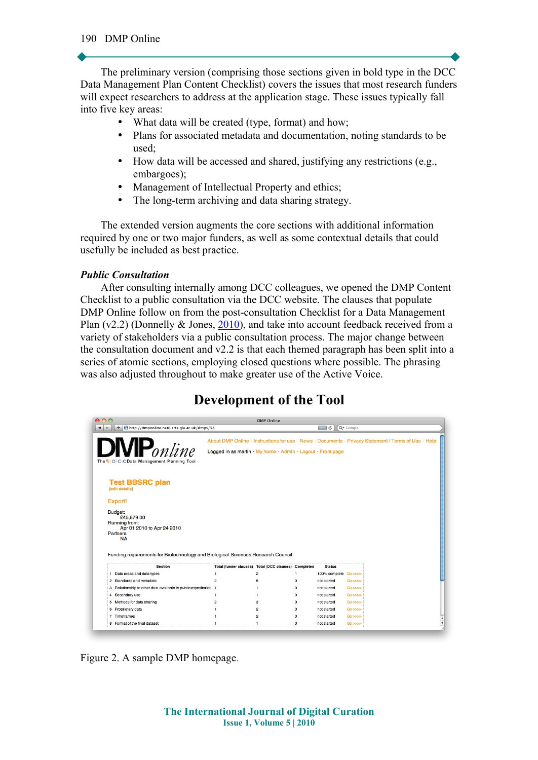The preliminary version (comprising those sections given in bold type in the DCC Data Management Plan Content Checklist) covers the issues that most research funders will expect researchers to address at the application stage. These issues typically fall into five key areas:

- What data will be created (type, format) and how;
- Plans for associated metadata and documentation, noting standards to be used;
- How data will be accessed and shared, justifying any restrictions (e.g., embargoes);
- Management of Intellectual Property and ethics;
- The long-term archiving and data sharing strategy.

The extended version augments the core sections with additional information required by one or two major funders, as well as some contextual details that could usefully be included as best practice.

### *Public Consultation*

After consulting internally among DCC colleagues, we opened the DMP Content Checklist to a public consultation via the DCC website. The clauses that populate DMP Online follow on from the post-consultation Checklist for a Data Management Plan (v2.2) (Donnelly & Jones,  $\frac{2010}{201}$ , and take into account feedback received from a variety of stakeholders via a public consultation process. The major change between the consultation document and v2.2 is that each themed paragraph has been split into a series of atomic sections, employing closed questions where possible. The phrasing was also adjusted throughout to make greater use of the Active Voice.

# **Development of the Tool**

| http://dmponline.hatii.arts.gla.ac.uk/dmps/58<br>$+$                             | Q- Google<br>RSS <sub>C</sub>                                                              |                                |                     |                            |                            |  |  |
|----------------------------------------------------------------------------------|--------------------------------------------------------------------------------------------|--------------------------------|---------------------|----------------------------|----------------------------|--|--|
|                                                                                  | About DMP Online Instructions for use News Documents Privacy Statement / Terms of Use Help |                                |                     |                            |                            |  |  |
| $\mathbf{P}_{online}$                                                            | Logged in as martin · My home · Admin · Logout · Front page                                |                                |                     |                            |                            |  |  |
|                                                                                  |                                                                                            |                                |                     |                            |                            |  |  |
| The D C C Data Management Planning Tool                                          |                                                                                            |                                |                     |                            |                            |  |  |
|                                                                                  |                                                                                            |                                |                     |                            |                            |  |  |
| <b>Test BBSRC plan</b>                                                           |                                                                                            |                                |                     |                            |                            |  |  |
| [edit details]                                                                   |                                                                                            |                                |                     |                            |                            |  |  |
|                                                                                  |                                                                                            |                                |                     |                            |                            |  |  |
| Export!                                                                          |                                                                                            |                                |                     |                            |                            |  |  |
| Budget:                                                                          |                                                                                            |                                |                     |                            |                            |  |  |
|                                                                                  |                                                                                            |                                |                     |                            |                            |  |  |
| £45,879.00                                                                       |                                                                                            |                                |                     |                            |                            |  |  |
| Running from:                                                                    |                                                                                            |                                |                     |                            |                            |  |  |
| Apr 01 2010 to Apr 24 2010                                                       |                                                                                            |                                |                     |                            |                            |  |  |
| <b>Partners</b><br><b>NA</b>                                                     |                                                                                            |                                |                     |                            |                            |  |  |
|                                                                                  |                                                                                            |                                |                     |                            |                            |  |  |
| Funding requirements for Biotechnology and Biological Sciences Research Council: |                                                                                            |                                |                     |                            |                            |  |  |
|                                                                                  |                                                                                            |                                |                     |                            |                            |  |  |
| <b>Section</b>                                                                   | Total (funder clauses) Total (DCC clauses) Completed                                       |                                |                     | <b>Status</b>              |                            |  |  |
| 1 Data areas and data types                                                      | $\overline{1}$                                                                             | $\overline{c}$                 | 1                   | 100% complete Go >>>>      |                            |  |  |
| 2 Standards and metadata                                                         | $\overline{c}$                                                                             | 5                              | $\circ$             | not started                | $Go \gg >>$                |  |  |
| 3 Relationship to other data available in public repositories 1                  | $\mathbf{1}$                                                                               | $\overline{1}$<br>$\mathbf{1}$ | $\circ$<br>$\Omega$ | not started<br>not started | $Go \gg >>$<br>$Go \gg >>$ |  |  |
| Secondary use<br>4<br>5 Methods for data sharing                                 | $\overline{c}$                                                                             | 3                              | $\circ$             | not started                | $Go \gg >>$                |  |  |
| 6 Proprietary data                                                               | $\mathbf{1}$                                                                               | $\overline{c}$                 | $\circ$             | not started                | $Go \gg >>$                |  |  |
| 7 Timeframes                                                                     | 1                                                                                          | $\overline{c}$                 | $\circ$             | not started                | $Go \gg >>$                |  |  |

Figure 2. A sample DMP homepage.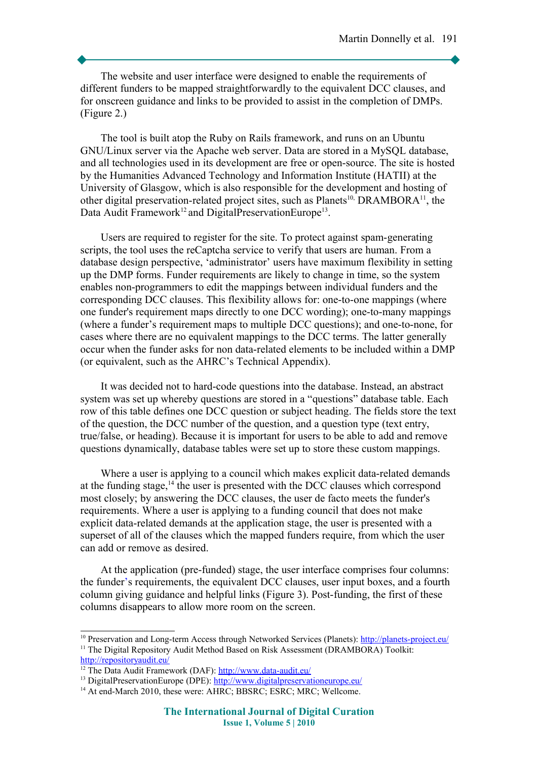The website and user interface were designed to enable the requirements of different funders to be mapped straightforwardly to the equivalent DCC clauses, and for onscreen guidance and links to be provided to assist in the completion of DMPs. (Figure 2.)

The tool is built atop the Ruby on Rails framework, and runs on an Ubuntu GNU/Linux server via the Apache web server. Data are stored in a MySQL database, and all technologies used in its development are free or open-source. The site is hosted by the Humanities Advanced Technology and Information Institute (HATII) at the University of Glasgow, which is also responsible for the development and hosting of other digital preservation-related project sites, such as Planets<sup>[10,](#page-5-0)</sup> DRAMBORA<sup>[11](#page-5-1)</sup>, the Data Audit Framework<sup>[12](#page-5-2)</sup> and DigitalPreservationEurope<sup>[13](#page-5-3)</sup>.

Users are required to register for the site. To protect against spam-generating scripts, the tool uses the reCaptcha service to verify that users are human. From a database design perspective, 'administrator' users have maximum flexibility in setting up the DMP forms. Funder requirements are likely to change in time, so the system enables non-programmers to edit the mappings between individual funders and the corresponding DCC clauses. This flexibility allows for: one-to-one mappings (where one funder's requirement maps directly to one DCC wording); one-to-many mappings (where a funder's requirement maps to multiple DCC questions); and one-to-none, for cases where there are no equivalent mappings to the DCC terms. The latter generally occur when the funder asks for non data-related elements to be included within a DMP (or equivalent, such as the AHRC's Technical Appendix).

It was decided not to hard-code questions into the database. Instead, an abstract system was set up whereby questions are stored in a "questions" database table. Each row of this table defines one DCC question or subject heading. The fields store the text of the question, the DCC number of the question, and a question type (text entry, true/false, or heading). Because it is important for users to be able to add and remove questions dynamically, database tables were set up to store these custom mappings.

Where a user is applying to a council which makes explicit data-related demands at the funding stage,[14](#page-5-4) the user is presented with the DCC clauses which correspond most closely; by answering the DCC clauses, the user de facto meets the funder's requirements. Where a user is applying to a funding council that does not make explicit data-related demands at the application stage, the user is presented with a superset of all of the clauses which the mapped funders require, from which the user can add or remove as desired.

At the application (pre-funded) stage, the user interface comprises four columns: the funder's requirements, the equivalent DCC clauses, user input boxes, and a fourth column giving guidance and helpful links (Figure 3). Post-funding, the first of these columns disappears to allow more room on the screen.

<span id="page-5-1"></span><span id="page-5-0"></span><sup>&</sup>lt;sup>10</sup> Preservation and Long-term Access through Networked Services (Planets):<http://planets-project.eu/> <sup>11</sup> The Digital Repository Audit Method Based on Risk Assessment (DRAMBORA) Toolkit: <http://repositoryaudit.eu/>

<span id="page-5-2"></span><sup>&</sup>lt;sup>12</sup> The Data Audit Framework (DAF):<http://www.data-audit.eu/>

<span id="page-5-3"></span><sup>&</sup>lt;sup>13</sup> DigitalPreservationEurope (DPE):<http://www.digitalpreservationeurope.eu/>

<span id="page-5-4"></span><sup>&</sup>lt;sup>14</sup> At end-March 2010, these were: AHRC; BBSRC; ESRC; MRC; Wellcome.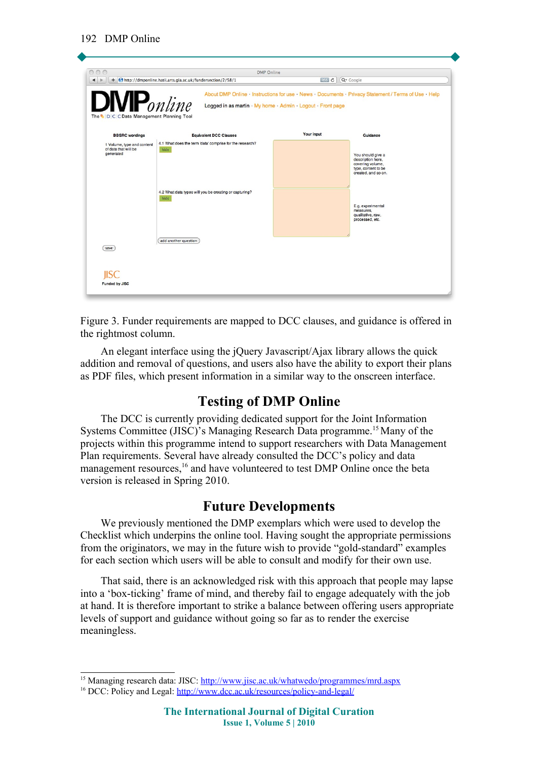| 000                                                                                                                                                                                                                                | DMP Online                                                                                                                         |                    |                                                                                                                                                                                    |  |  |  |  |
|------------------------------------------------------------------------------------------------------------------------------------------------------------------------------------------------------------------------------------|------------------------------------------------------------------------------------------------------------------------------------|--------------------|------------------------------------------------------------------------------------------------------------------------------------------------------------------------------------|--|--|--|--|
| $\rightarrow$                                                                                                                                                                                                                      | + http://dmponline.hatii.arts.gla.ac.uk/fundersection/2/58/1                                                                       | Q- Google<br>RSS C |                                                                                                                                                                                    |  |  |  |  |
| About DMP Online Instructions for use News Documents Privacy Statement / Terms of Use Help<br>$DNP$ <i>online</i><br>Logged in as martin · My home Admin · Logout · Front page<br>The <b>F</b> D C C Data Management Planning Tool |                                                                                                                                    |                    |                                                                                                                                                                                    |  |  |  |  |
| <b>BBSRC</b> wordings                                                                                                                                                                                                              | <b>Equivalent DCC Clauses</b>                                                                                                      | Your input         | Guidance                                                                                                                                                                           |  |  |  |  |
| 1 Volume, type and content<br>of data that will be<br>generated                                                                                                                                                                    | 4.1 What does the term 'data' comprise for the research?<br>hide<br>4.2 What data types will you be creating or capturing?<br>hide |                    | You should give a<br>description here,<br>covering volume,<br>type, content to be<br>created, and so on.<br>E.g. experimental<br>measures,<br>qualitative, raw,<br>processed, etc. |  |  |  |  |
| save                                                                                                                                                                                                                               | add another question                                                                                                               |                    |                                                                                                                                                                                    |  |  |  |  |
| <b>IISC</b><br><b>Funded by JISC</b>                                                                                                                                                                                               |                                                                                                                                    |                    |                                                                                                                                                                                    |  |  |  |  |

Figure 3. Funder requirements are mapped to DCC clauses, and guidance is offered in the rightmost column.

An elegant interface using the jQuery Javascript/Ajax library allows the quick addition and removal of questions, and users also have the ability to export their plans as PDF files, which present information in a similar way to the onscreen interface.

## **Testing of DMP Online**

The DCC is currently providing dedicated support for the Joint Information Systems Committee (JISC)'s Managing Research Data programme.<sup>[15](#page-6-0)</sup> Many of the projects within this programme intend to support researchers with Data Management Plan requirements. Several have already consulted the DCC's policy and data management resources,<sup>[16](#page-6-1)</sup> and have volunteered to test DMP Online once the beta version is released in Spring 2010.

## **Future Developments**

We previously mentioned the DMP exemplars which were used to develop the Checklist which underpins the online tool. Having sought the appropriate permissions from the originators, we may in the future wish to provide "gold-standard" examples for each section which users will be able to consult and modify for their own use.

That said, there is an acknowledged risk with this approach that people may lapse into a 'box-ticking' frame of mind, and thereby fail to engage adequately with the job at hand. It is therefore important to strike a balance between offering users appropriate levels of support and guidance without going so far as to render the exercise meaningless.

<span id="page-6-0"></span><sup>&</sup>lt;sup>15</sup> Managing research data: JISC:<http://www.jisc.ac.uk/whatwedo/programmes/mrd.aspx>

<span id="page-6-1"></span><sup>&</sup>lt;sup>16</sup> DCC: Policy and Legal:<http://www.dcc.ac.uk/resources/policy-and-legal/>